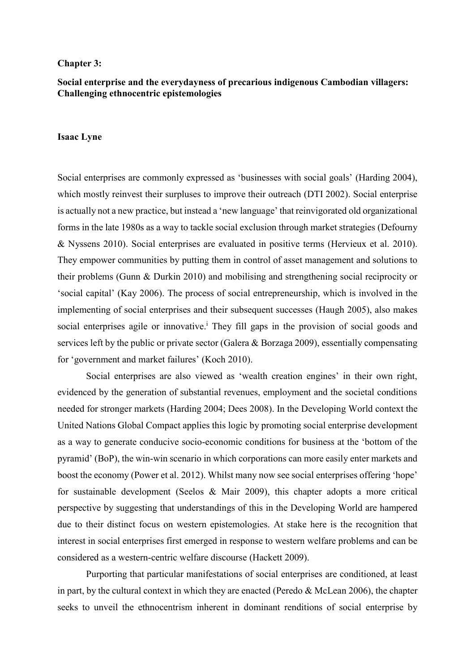#### **Chapter 3:**

# **Social enterprise and the everydayness of precarious indigenous Cambodian villagers: Challenging ethnocentric epistemologies**

### **Isaac Lyne**

Social enterprises are commonly expressed as 'businesses with social goals' (Harding 2004), which mostly reinvest their surpluses to improve their outreach (DTI 2002). Social enterprise is actually not a new practice, but instead a 'new language' that reinvigorated old organizational forms in the late 1980s as a way to tackle social exclusion through market strategies (Defourny & Nyssens 2010). Social enterprises are evaluated in positive terms (Hervieux et al. 2010). They empower communities by putting them in control of asset management and solutions to their problems (Gunn & Durkin 2010) and mobilising and strengthening social reciprocity or 'social capital' (Kay 2006). The process of social entrepreneurship, which is involved in the implementing of social enterprises and their subsequent successes (Haugh 2005), also makes social enterprises agile or innovative.<sup>1</sup> They fill gaps in the provision of social goods and services left by the public or private sector (Galera & Borzaga 2009), essentially compensating for 'government and market failures' (Koch 2010).

Social enterprises are also viewed as 'wealth creation engines' in their own right, evidenced by the generation of substantial revenues, employment and the societal conditions needed for stronger markets (Harding 2004; Dees 2008). In the Developing World context the United Nations Global Compact applies this logic by promoting social enterprise development as a way to generate conducive socio-economic conditions for business at the 'bottom of the pyramid' (BoP), the win-win scenario in which corporations can more easily enter markets and boost the economy (Power et al. 2012). Whilst many now see social enterprises offering 'hope' for sustainable development (Seelos & Mair 2009), this chapter adopts a more critical perspective by suggesting that understandings of this in the Developing World are hampered due to their distinct focus on western epistemologies. At stake here is the recognition that interest in social enterprises first emerged in response to western welfare problems and can be considered as a western-centric welfare discourse (Hackett 2009).

Purporting that particular manifestations of social enterprises are conditioned, at least in part, by the cultural context in which they are enacted (Peredo & McLean 2006), the chapter seeks to unveil the ethnocentrism inherent in dominant renditions of social enterprise by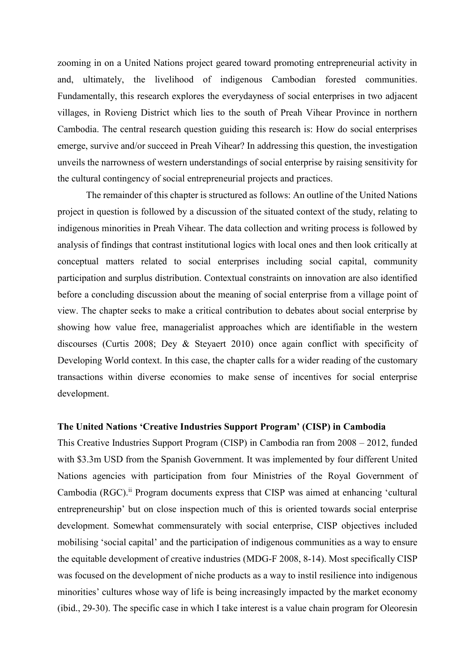zooming in on a United Nations project geared toward promoting entrepreneurial activity in and, ultimately, the livelihood of indigenous Cambodian forested communities. Fundamentally, this research explores the everydayness of social enterprises in two adjacent villages, in Rovieng District which lies to the south of Preah Vihear Province in northern Cambodia. The central research question guiding this research is: How do social enterprises emerge, survive and/or succeed in Preah Vihear? In addressing this question, the investigation unveils the narrowness of western understandings of social enterprise by raising sensitivity for the cultural contingency of social entrepreneurial projects and practices.

The remainder of this chapter is structured as follows: An outline of the United Nations project in question is followed by a discussion of the situated context of the study, relating to indigenous minorities in Preah Vihear. The data collection and writing process is followed by analysis of findings that contrast institutional logics with local ones and then look critically at conceptual matters related to social enterprises including social capital, community participation and surplus distribution. Contextual constraints on innovation are also identified before a concluding discussion about the meaning of social enterprise from a village point of view. The chapter seeks to make a critical contribution to debates about social enterprise by showing how value free, managerialist approaches which are identifiable in the western discourses (Curtis 2008; Dey & Steyaert 2010) once again conflict with specificity of Developing World context. In this case, the chapter calls for a wider reading of the customary transactions within diverse economies to make sense of incentives for social enterprise development.

## **The United Nations 'Creative Industries Support Program' (CISP) in Cambodia**

This Creative Industries Support Program (CISP) in Cambodia ran from 2008 – 2012, funded with \$3.3m USD from the Spanish Government. It was implemented by four different United Nations agencies with participation from four Ministries of the Royal Government of Cambodia (RGC). ii Program documents express that CISP was aimed at enhancing 'cultural entrepreneurship' but on close inspection much of this is oriented towards social enterprise development. Somewhat commensurately with social enterprise, CISP objectives included mobilising 'social capital' and the participation of indigenous communities as a way to ensure the equitable development of creative industries (MDG-F 2008, 8-14). Most specifically CISP was focused on the development of niche products as a way to instil resilience into indigenous minorities' cultures whose way of life is being increasingly impacted by the market economy (ibid., 29-30). The specific case in which I take interest is a value chain program for Oleoresin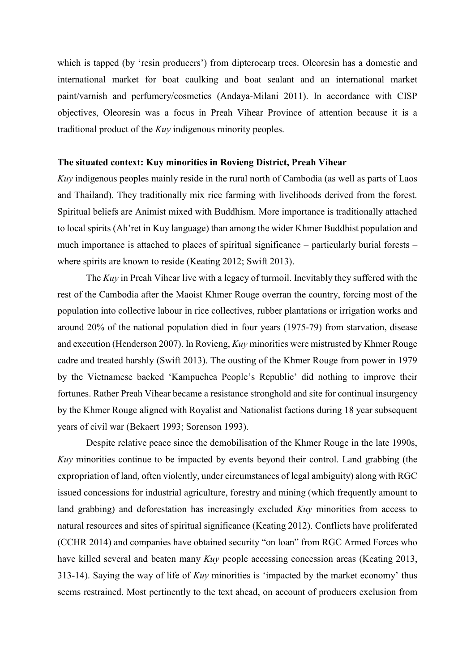which is tapped (by 'resin producers') from dipterocarp trees. Oleoresin has a domestic and international market for boat caulking and boat sealant and an international market paint/varnish and perfumery/cosmetics (Andaya-Milani 2011). In accordance with CISP objectives, Oleoresin was a focus in Preah Vihear Province of attention because it is a traditional product of the *Kuy* indigenous minority peoples.

### **The situated context: Kuy minorities in Rovieng District, Preah Vihear**

*Kuy* indigenous peoples mainly reside in the rural north of Cambodia (as well as parts of Laos and Thailand). They traditionally mix rice farming with livelihoods derived from the forest. Spiritual beliefs are Animist mixed with Buddhism. More importance is traditionally attached to local spirits (Ah'ret in Kuy language) than among the wider Khmer Buddhist population and much importance is attached to places of spiritual significance – particularly burial forests – where spirits are known to reside (Keating 2012; Swift 2013).

The *Kuy* in Preah Vihear live with a legacy of turmoil. Inevitably they suffered with the rest of the Cambodia after the Maoist Khmer Rouge overran the country, forcing most of the population into collective labour in rice collectives, rubber plantations or irrigation works and around 20% of the national population died in four years (1975-79) from starvation, disease and execution (Henderson 2007). In Rovieng, *Kuy* minorities were mistrusted by Khmer Rouge cadre and treated harshly (Swift 2013). The ousting of the Khmer Rouge from power in 1979 by the Vietnamese backed 'Kampuchea People's Republic' did nothing to improve their fortunes. Rather Preah Vihear became a resistance stronghold and site for continual insurgency by the Khmer Rouge aligned with Royalist and Nationalist factions during 18 year subsequent years of civil war (Bekaert 1993; Sorenson 1993).

Despite relative peace since the demobilisation of the Khmer Rouge in the late 1990s, *Kuy* minorities continue to be impacted by events beyond their control. Land grabbing (the expropriation of land, often violently, under circumstances of legal ambiguity) along with RGC issued concessions for industrial agriculture, forestry and mining (which frequently amount to land grabbing) and deforestation has increasingly excluded *Kuy* minorities from access to natural resources and sites of spiritual significance (Keating 2012). Conflicts have proliferated (CCHR 2014) and companies have obtained security "on loan" from RGC Armed Forces who have killed several and beaten many *Kuy* people accessing concession areas (Keating 2013, 313-14). Saying the way of life of *Kuy* minorities is 'impacted by the market economy' thus seems restrained. Most pertinently to the text ahead, on account of producers exclusion from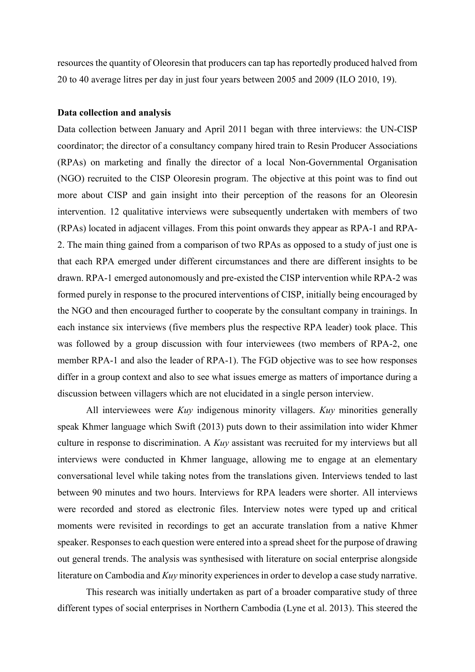resources the quantity of Oleoresin that producers can tap has reportedly produced halved from 20 to 40 average litres per day in just four years between 2005 and 2009 (ILO 2010, 19).

### **Data collection and analysis**

Data collection between January and April 2011 began with three interviews: the UN-CISP coordinator; the director of a consultancy company hired train to Resin Producer Associations (RPAs) on marketing and finally the director of a local Non-Governmental Organisation (NGO) recruited to the CISP Oleoresin program. The objective at this point was to find out more about CISP and gain insight into their perception of the reasons for an Oleoresin intervention. 12 qualitative interviews were subsequently undertaken with members of two (RPAs) located in adjacent villages. From this point onwards they appear as RPA-1 and RPA-2. The main thing gained from a comparison of two RPAs as opposed to a study of just one is that each RPA emerged under different circumstances and there are different insights to be drawn. RPA-1 emerged autonomously and pre-existed the CISP intervention while RPA-2 was formed purely in response to the procured interventions of CISP, initially being encouraged by the NGO and then encouraged further to cooperate by the consultant company in trainings. In each instance six interviews (five members plus the respective RPA leader) took place. This was followed by a group discussion with four interviewees (two members of RPA-2, one member RPA-1 and also the leader of RPA-1). The FGD objective was to see how responses differ in a group context and also to see what issues emerge as matters of importance during a discussion between villagers which are not elucidated in a single person interview.

All interviewees were *Kuy* indigenous minority villagers. *Kuy* minorities generally speak Khmer language which Swift (2013) puts down to their assimilation into wider Khmer culture in response to discrimination. A *Kuy* assistant was recruited for my interviews but all interviews were conducted in Khmer language, allowing me to engage at an elementary conversational level while taking notes from the translations given. Interviews tended to last between 90 minutes and two hours. Interviews for RPA leaders were shorter. All interviews were recorded and stored as electronic files. Interview notes were typed up and critical moments were revisited in recordings to get an accurate translation from a native Khmer speaker. Responses to each question were entered into a spread sheet for the purpose of drawing out general trends. The analysis was synthesised with literature on social enterprise alongside literature on Cambodia and *Kuy* minority experiences in order to develop a case study narrative.

This research was initially undertaken as part of a broader comparative study of three different types of social enterprises in Northern Cambodia (Lyne et al. 2013). This steered the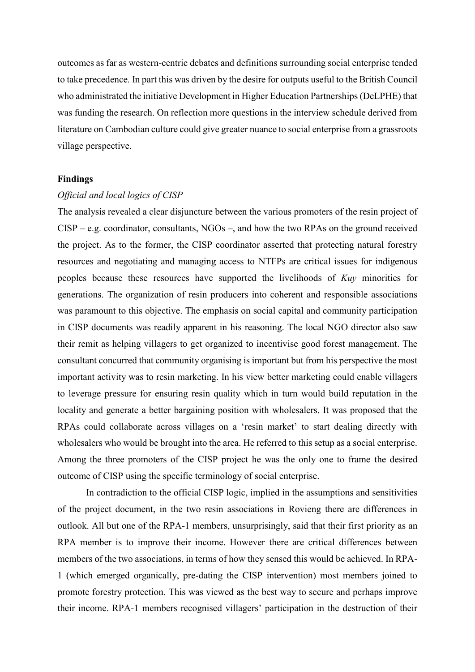outcomes as far as western-centric debates and definitions surrounding social enterprise tended to take precedence. In part this was driven by the desire for outputs useful to the British Council who administrated the initiative Development in Higher Education Partnerships (DeLPHE) that was funding the research. On reflection more questions in the interview schedule derived from literature on Cambodian culture could give greater nuance to social enterprise from a grassroots village perspective.

#### **Findings**

### *Official and local logics of CISP*

The analysis revealed a clear disjuncture between the various promoters of the resin project of CISP – e.g. coordinator, consultants, NGOs –, and how the two RPAs on the ground received the project. As to the former, the CISP coordinator asserted that protecting natural forestry resources and negotiating and managing access to NTFPs are critical issues for indigenous peoples because these resources have supported the livelihoods of *Kuy* minorities for generations. The organization of resin producers into coherent and responsible associations was paramount to this objective. The emphasis on social capital and community participation in CISP documents was readily apparent in his reasoning. The local NGO director also saw their remit as helping villagers to get organized to incentivise good forest management. The consultant concurred that community organising is important but from his perspective the most important activity was to resin marketing. In his view better marketing could enable villagers to leverage pressure for ensuring resin quality which in turn would build reputation in the locality and generate a better bargaining position with wholesalers. It was proposed that the RPAs could collaborate across villages on a 'resin market' to start dealing directly with wholesalers who would be brought into the area. He referred to this setup as a social enterprise. Among the three promoters of the CISP project he was the only one to frame the desired outcome of CISP using the specific terminology of social enterprise.

In contradiction to the official CISP logic, implied in the assumptions and sensitivities of the project document, in the two resin associations in Rovieng there are differences in outlook. All but one of the RPA-1 members, unsurprisingly, said that their first priority as an RPA member is to improve their income. However there are critical differences between members of the two associations, in terms of how they sensed this would be achieved. In RPA-1 (which emerged organically, pre-dating the CISP intervention) most members joined to promote forestry protection. This was viewed as the best way to secure and perhaps improve their income. RPA-1 members recognised villagers' participation in the destruction of their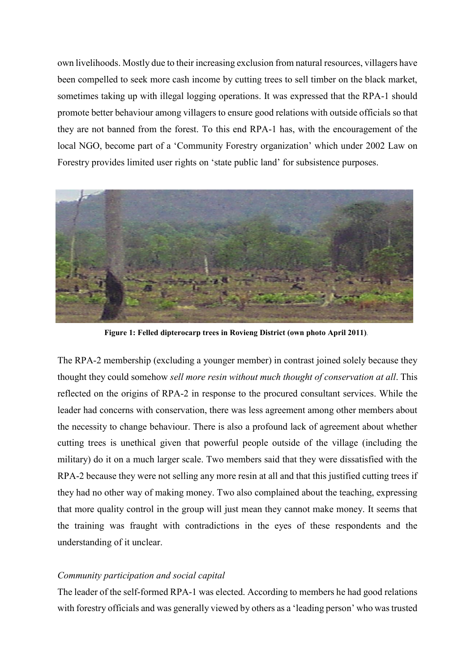own livelihoods. Mostly due to their increasing exclusion from natural resources, villagers have been compelled to seek more cash income by cutting trees to sell timber on the black market, sometimes taking up with illegal logging operations. It was expressed that the RPA-1 should promote better behaviour among villagers to ensure good relations with outside officials so that they are not banned from the forest. To this end RPA-1 has, with the encouragement of the local NGO, become part of a 'Community Forestry organization' which under 2002 Law on Forestry provides limited user rights on 'state public land' for subsistence purposes.



**Figure 1: Felled dipterocarp trees in Rovieng District (own photo April 2011)***.*

The RPA-2 membership (excluding a younger member) in contrast joined solely because they thought they could somehow *sell more resin without much thought of conservation at all*. This reflected on the origins of RPA-2 in response to the procured consultant services. While the leader had concerns with conservation, there was less agreement among other members about the necessity to change behaviour. There is also a profound lack of agreement about whether cutting trees is unethical given that powerful people outside of the village (including the military) do it on a much larger scale. Two members said that they were dissatisfied with the RPA-2 because they were not selling any more resin at all and that this justified cutting trees if they had no other way of making money. Two also complained about the teaching, expressing that more quality control in the group will just mean they cannot make money. It seems that the training was fraught with contradictions in the eyes of these respondents and the understanding of it unclear.

## *Community participation and social capital*

The leader of the self-formed RPA-1 was elected. According to members he had good relations with forestry officials and was generally viewed by others as a 'leading person' who was trusted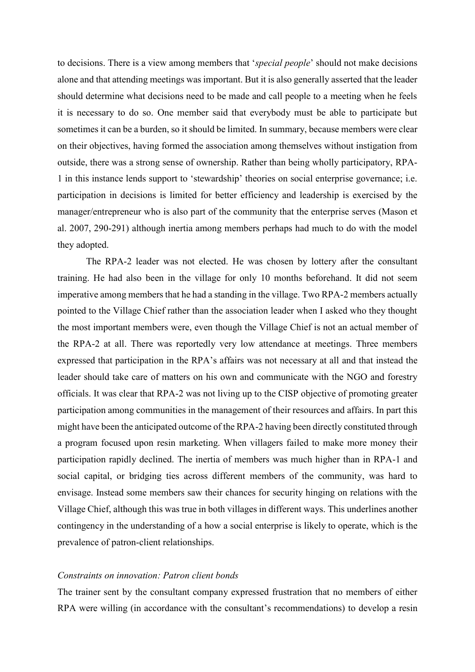to decisions. There is a view among members that '*special people*' should not make decisions alone and that attending meetings was important. But it is also generally asserted that the leader should determine what decisions need to be made and call people to a meeting when he feels it is necessary to do so. One member said that everybody must be able to participate but sometimes it can be a burden, so it should be limited. In summary, because members were clear on their objectives, having formed the association among themselves without instigation from outside, there was a strong sense of ownership. Rather than being wholly participatory, RPA-1 in this instance lends support to 'stewardship' theories on social enterprise governance; i.e. participation in decisions is limited for better efficiency and leadership is exercised by the manager/entrepreneur who is also part of the community that the enterprise serves (Mason et al. 2007, 290-291) although inertia among members perhaps had much to do with the model they adopted.

The RPA-2 leader was not elected. He was chosen by lottery after the consultant training. He had also been in the village for only 10 months beforehand. It did not seem imperative among members that he had a standing in the village. Two RPA-2 members actually pointed to the Village Chief rather than the association leader when I asked who they thought the most important members were, even though the Village Chief is not an actual member of the RPA-2 at all. There was reportedly very low attendance at meetings. Three members expressed that participation in the RPA's affairs was not necessary at all and that instead the leader should take care of matters on his own and communicate with the NGO and forestry officials. It was clear that RPA-2 was not living up to the CISP objective of promoting greater participation among communities in the management of their resources and affairs. In part this might have been the anticipated outcome of the RPA-2 having been directly constituted through a program focused upon resin marketing. When villagers failed to make more money their participation rapidly declined. The inertia of members was much higher than in RPA-1 and social capital, or bridging ties across different members of the community, was hard to envisage. Instead some members saw their chances for security hinging on relations with the Village Chief, although this was true in both villages in different ways. This underlines another contingency in the understanding of a how a social enterprise is likely to operate, which is the prevalence of patron-client relationships.

## *Constraints on innovation: Patron client bonds*

The trainer sent by the consultant company expressed frustration that no members of either RPA were willing (in accordance with the consultant's recommendations) to develop a resin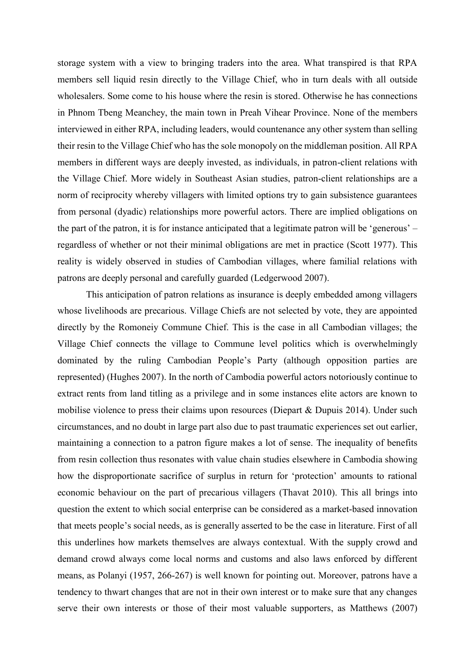storage system with a view to bringing traders into the area. What transpired is that RPA members sell liquid resin directly to the Village Chief, who in turn deals with all outside wholesalers. Some come to his house where the resin is stored. Otherwise he has connections in Phnom Tbeng Meanchey, the main town in Preah Vihear Province. None of the members interviewed in either RPA, including leaders, would countenance any other system than selling their resin to the Village Chief who has the sole monopoly on the middleman position. All RPA members in different ways are deeply invested, as individuals, in patron-client relations with the Village Chief. More widely in Southeast Asian studies, patron-client relationships are a norm of reciprocity whereby villagers with limited options try to gain subsistence guarantees from personal (dyadic) relationships more powerful actors. There are implied obligations on the part of the patron, it is for instance anticipated that a legitimate patron will be 'generous' – regardless of whether or not their minimal obligations are met in practice (Scott 1977). This reality is widely observed in studies of Cambodian villages, where familial relations with patrons are deeply personal and carefully guarded (Ledgerwood 2007).

This anticipation of patron relations as insurance is deeply embedded among villagers whose livelihoods are precarious. Village Chiefs are not selected by vote, they are appointed directly by the Romoneiy Commune Chief. This is the case in all Cambodian villages; the Village Chief connects the village to Commune level politics which is overwhelmingly dominated by the ruling Cambodian People's Party (although opposition parties are represented) (Hughes 2007). In the north of Cambodia powerful actors notoriously continue to extract rents from land titling as a privilege and in some instances elite actors are known to mobilise violence to press their claims upon resources (Diepart & Dupuis 2014). Under such circumstances, and no doubt in large part also due to past traumatic experiences set out earlier, maintaining a connection to a patron figure makes a lot of sense. The inequality of benefits from resin collection thus resonates with value chain studies elsewhere in Cambodia showing how the disproportionate sacrifice of surplus in return for 'protection' amounts to rational economic behaviour on the part of precarious villagers (Thavat 2010). This all brings into question the extent to which social enterprise can be considered as a market-based innovation that meets people's social needs, as is generally asserted to be the case in literature. First of all this underlines how markets themselves are always contextual. With the supply crowd and demand crowd always come local norms and customs and also laws enforced by different means, as Polanyi (1957, 266-267) is well known for pointing out. Moreover, patrons have a tendency to thwart changes that are not in their own interest or to make sure that any changes serve their own interests or those of their most valuable supporters, as Matthews (2007)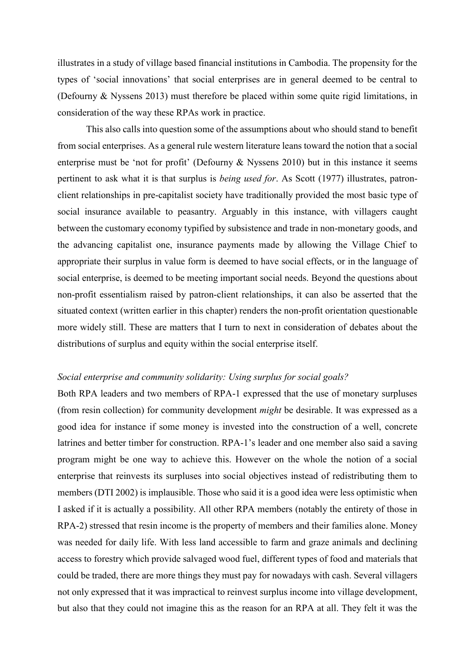illustrates in a study of village based financial institutions in Cambodia. The propensity for the types of 'social innovations' that social enterprises are in general deemed to be central to (Defourny & Nyssens 2013) must therefore be placed within some quite rigid limitations, in consideration of the way these RPAs work in practice.

This also calls into question some of the assumptions about who should stand to benefit from social enterprises. As a general rule western literature leans toward the notion that a social enterprise must be 'not for profit' (Defourny & Nyssens 2010) but in this instance it seems pertinent to ask what it is that surplus is *being used for*. As Scott (1977) illustrates, patronclient relationships in pre-capitalist society have traditionally provided the most basic type of social insurance available to peasantry. Arguably in this instance, with villagers caught between the customary economy typified by subsistence and trade in non-monetary goods, and the advancing capitalist one, insurance payments made by allowing the Village Chief to appropriate their surplus in value form is deemed to have social effects, or in the language of social enterprise, is deemed to be meeting important social needs. Beyond the questions about non-profit essentialism raised by patron-client relationships, it can also be asserted that the situated context (written earlier in this chapter) renders the non-profit orientation questionable more widely still. These are matters that I turn to next in consideration of debates about the distributions of surplus and equity within the social enterprise itself.

### *Social enterprise and community solidarity: Using surplus for social goals?*

Both RPA leaders and two members of RPA-1 expressed that the use of monetary surpluses (from resin collection) for community development *might* be desirable. It was expressed as a good idea for instance if some money is invested into the construction of a well, concrete latrines and better timber for construction. RPA-1's leader and one member also said a saving program might be one way to achieve this. However on the whole the notion of a social enterprise that reinvests its surpluses into social objectives instead of redistributing them to members (DTI 2002) is implausible. Those who said it is a good idea were less optimistic when I asked if it is actually a possibility. All other RPA members (notably the entirety of those in RPA-2) stressed that resin income is the property of members and their families alone. Money was needed for daily life. With less land accessible to farm and graze animals and declining access to forestry which provide salvaged wood fuel, different types of food and materials that could be traded, there are more things they must pay for nowadays with cash. Several villagers not only expressed that it was impractical to reinvest surplus income into village development, but also that they could not imagine this as the reason for an RPA at all. They felt it was the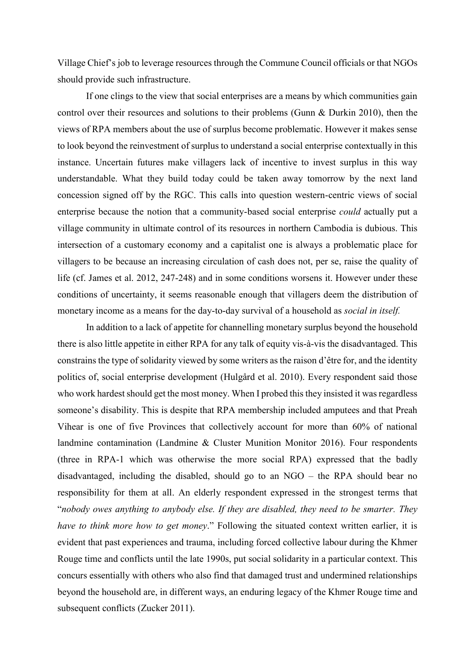Village Chief's job to leverage resources through the Commune Council officials or that NGOs should provide such infrastructure.

If one clings to the view that social enterprises are a means by which communities gain control over their resources and solutions to their problems (Gunn & Durkin 2010), then the views of RPA members about the use of surplus become problematic. However it makes sense to look beyond the reinvestment of surplus to understand a social enterprise contextually in this instance. Uncertain futures make villagers lack of incentive to invest surplus in this way understandable. What they build today could be taken away tomorrow by the next land concession signed off by the RGC. This calls into question western-centric views of social enterprise because the notion that a community-based social enterprise *could* actually put a village community in ultimate control of its resources in northern Cambodia is dubious. This intersection of a customary economy and a capitalist one is always a problematic place for villagers to be because an increasing circulation of cash does not, per se, raise the quality of life (cf. James et al. 2012, 247-248) and in some conditions worsens it. However under these conditions of uncertainty, it seems reasonable enough that villagers deem the distribution of monetary income as a means for the day-to-day survival of a household as *social in itself.*

In addition to a lack of appetite for channelling monetary surplus beyond the household there is also little appetite in either RPA for any talk of equity vis-à-vis the disadvantaged. This constrains the type of solidarity viewed by some writers as the raison d'être for, and the identity politics of, social enterprise development (Hulgård et al. 2010). Every respondent said those who work hardest should get the most money. When I probed this they insisted it was regardless someone's disability. This is despite that RPA membership included amputees and that Preah Vihear is one of five Provinces that collectively account for more than 60% of national landmine contamination (Landmine & Cluster Munition Monitor 2016). Four respondents (three in RPA-1 which was otherwise the more social RPA) expressed that the badly disadvantaged, including the disabled, should go to an NGO – the RPA should bear no responsibility for them at all. An elderly respondent expressed in the strongest terms that "*nobody owes anything to anybody else. If they are disabled, they need to be smarter. They have to think more how to get money*." Following the situated context written earlier, it is evident that past experiences and trauma, including forced collective labour during the Khmer Rouge time and conflicts until the late 1990s, put social solidarity in a particular context. This concurs essentially with others who also find that damaged trust and undermined relationships beyond the household are, in different ways, an enduring legacy of the Khmer Rouge time and subsequent conflicts (Zucker 2011).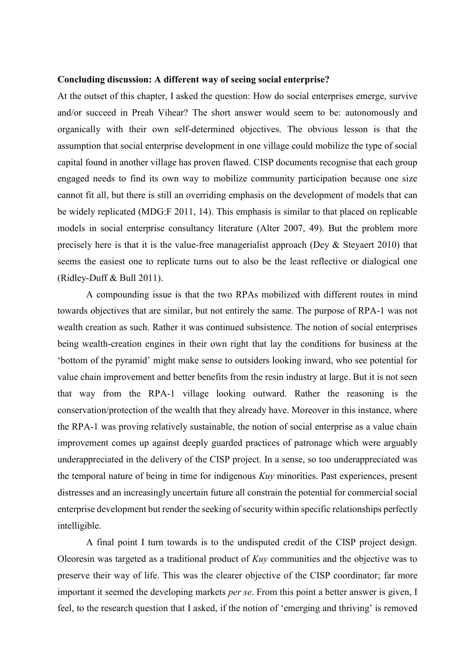#### **Concluding discussion: A different way of seeing social enterprise?**

At the outset of this chapter, I asked the question: How do social enterprises emerge, survive and/or succeed in Preah Vihear? The short answer would seem to be: autonomously and organically with their own self-determined objectives. The obvious lesson is that the assumption that social enterprise development in one village could mobilize the type of social capital found in another village has proven flawed. CISP documents recognise that each group engaged needs to find its own way to mobilize community participation because one size cannot fit all, but there is still an overriding emphasis on the development of models that can be widely replicated (MDG:F 2011, 14). This emphasis is similar to that placed on replicable models in social enterprise consultancy literature (Alter 2007, 49). But the problem more precisely here is that it is the value-free managerialist approach (Dey & Steyaert 2010) that seems the easiest one to replicate turns out to also be the least reflective or dialogical one (Ridley-Duff & Bull 2011).

A compounding issue is that the two RPAs mobilized with different routes in mind towards objectives that are similar, but not entirely the same. The purpose of RPA-1 was not wealth creation as such. Rather it was continued subsistence. The notion of social enterprises being wealth-creation engines in their own right that lay the conditions for business at the 'bottom of the pyramid' might make sense to outsiders looking inward, who see potential for value chain improvement and better benefits from the resin industry at large. But it is not seen that way from the RPA-1 village looking outward. Rather the reasoning is the conservation/protection of the wealth that they already have. Moreover in this instance, where the RPA-1 was proving relatively sustainable, the notion of social enterprise as a value chain improvement comes up against deeply guarded practices of patronage which were arguably underappreciated in the delivery of the CISP project. In a sense, so too underappreciated was the temporal nature of being in time for indigenous *Kuy* minorities. Past experiences, present distresses and an increasingly uncertain future all constrain the potential for commercial social enterprise development but render the seeking of security within specific relationships perfectly intelligible.

A final point I turn towards is to the undisputed credit of the CISP project design. Oleoresin was targeted as a traditional product of *Kuy* communities and the objective was to preserve their way of life. This was the clearer objective of the CISP coordinator; far more important it seemed the developing markets *per se*. From this point a better answer is given, I feel, to the research question that I asked, if the notion of 'emerging and thriving' is removed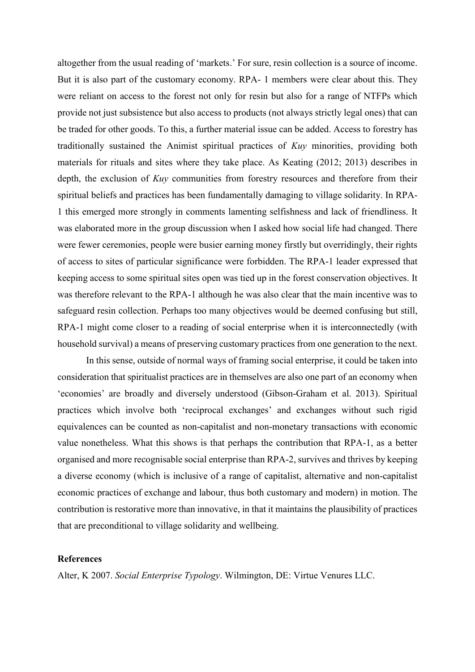altogether from the usual reading of 'markets.' For sure, resin collection is a source of income. But it is also part of the customary economy. RPA- 1 members were clear about this. They were reliant on access to the forest not only for resin but also for a range of NTFPs which provide not just subsistence but also access to products (not always strictly legal ones) that can be traded for other goods. To this, a further material issue can be added. Access to forestry has traditionally sustained the Animist spiritual practices of *Kuy* minorities, providing both materials for rituals and sites where they take place. As Keating (2012; 2013) describes in depth, the exclusion of *Kuy* communities from forestry resources and therefore from their spiritual beliefs and practices has been fundamentally damaging to village solidarity. In RPA-1 this emerged more strongly in comments lamenting selfishness and lack of friendliness. It was elaborated more in the group discussion when I asked how social life had changed. There were fewer ceremonies, people were busier earning money firstly but overridingly, their rights of access to sites of particular significance were forbidden. The RPA-1 leader expressed that keeping access to some spiritual sites open was tied up in the forest conservation objectives. It was therefore relevant to the RPA-1 although he was also clear that the main incentive was to safeguard resin collection. Perhaps too many objectives would be deemed confusing but still, RPA-1 might come closer to a reading of social enterprise when it is interconnectedly (with household survival) a means of preserving customary practices from one generation to the next.

In this sense, outside of normal ways of framing social enterprise, it could be taken into consideration that spiritualist practices are in themselves are also one part of an economy when 'economies' are broadly and diversely understood (Gibson-Graham et al. 2013). Spiritual practices which involve both 'reciprocal exchanges' and exchanges without such rigid equivalences can be counted as non-capitalist and non-monetary transactions with economic value nonetheless. What this shows is that perhaps the contribution that RPA-1, as a better organised and more recognisable social enterprise than RPA-2, survives and thrives by keeping a diverse economy (which is inclusive of a range of capitalist, alternative and non-capitalist economic practices of exchange and labour, thus both customary and modern) in motion. The contribution is restorative more than innovative, in that it maintains the plausibility of practices that are preconditional to village solidarity and wellbeing.

# **References**

Alter, K 2007. *Social Enterprise Typology*. Wilmington, DE: Virtue Venures LLC.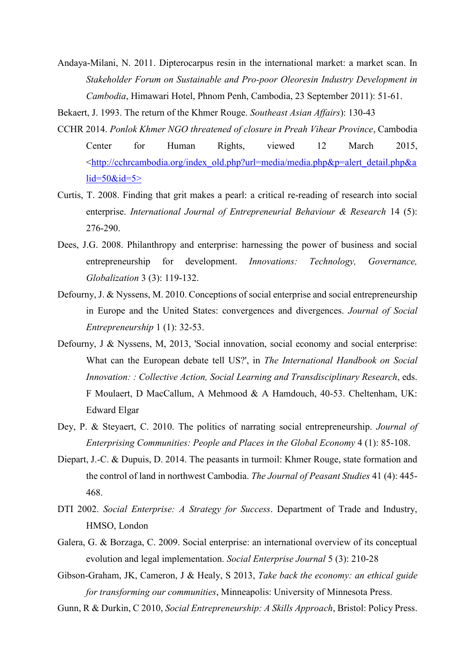Andaya-Milani, N. 2011. Dipterocarpus resin in the international market: a market scan. In *Stakeholder Forum on Sustainable and Pro-poor Oleoresin Industry Development in Cambodia*, Himawari Hotel, Phnom Penh, Cambodia, 23 September 2011): 51-61.

Bekaert, J. 1993. The return of the Khmer Rouge. *Southeast Asian Affairs*): 130-43

- CCHR 2014. *Ponlok Khmer NGO threatened of closure in Preah Vihear Province*, Cambodia Center for Human Rights, viewed 12 March 2015, [<http://cchrcambodia.org/index\\_old.php?url=media/media.php&p=alert\\_detail.php&a](http://cchrcambodia.org/index_old.php?url=media/media.php&p=alert_detail.php&alid=50&id=5%3e)  $lid = 50$ & $id = 5$
- Curtis, T. 2008. Finding that grit makes a pearl: a critical re-reading of research into social enterprise. *International Journal of Entrepreneurial Behaviour & Research* 14 (5): 276-290.
- Dees, J.G. 2008. Philanthropy and enterprise: harnessing the power of business and social entrepreneurship for development. *Innovations: Technology, Governance, Globalization* 3 (3): 119-132.
- Defourny, J. & Nyssens, M. 2010. Conceptions of social enterprise and social entrepreneurship in Europe and the United States: convergences and divergences. *Journal of Social Entrepreneurship* 1 (1): 32-53.
- Defourny, J & Nyssens, M, 2013, 'Social innovation, social economy and social enterprise: What can the European debate tell US?', in *The International Handbook on Social Innovation: : Collective Action, Social Learning and Transdisciplinary Research*, eds. F Moulaert, D MacCallum, A Mehmood & A Hamdouch, 40-53. Cheltenham, UK: Edward Elgar
- Dey, P. & Steyaert, C. 2010. The politics of narrating social entrepreneurship. *Journal of Enterprising Communities: People and Places in the Global Economy* 4 (1): 85-108.
- Diepart, J.-C. & Dupuis, D. 2014. The peasants in turmoil: Khmer Rouge, state formation and the control of land in northwest Cambodia. *The Journal of Peasant Studies* 41 (4): 445- 468.
- DTI 2002. *Social Enterprise: A Strategy for Success*. Department of Trade and Industry, HMSO, London
- Galera, G. & Borzaga, C. 2009. Social enterprise: an international overview of its conceptual evolution and legal implementation. *Social Enterprise Journal* 5 (3): 210-28
- Gibson-Graham, JK, Cameron, J & Healy, S 2013, *Take back the economy: an ethical guide for transforming our communities*, Minneapolis: University of Minnesota Press.
- Gunn, R & Durkin, C 2010, *Social Entrepreneurship: A Skills Approach*, Bristol: Policy Press.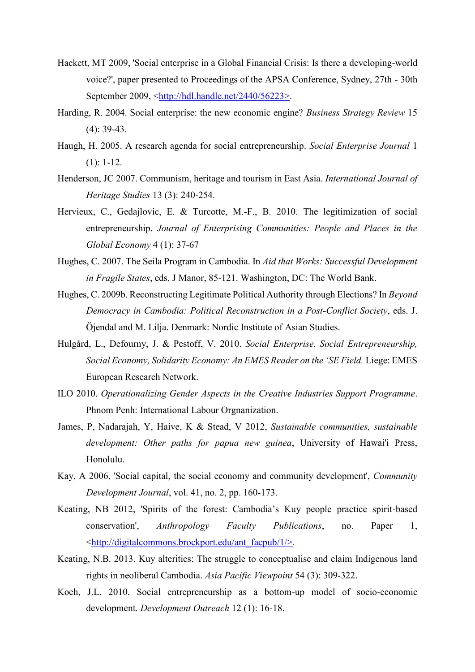- Hackett, MT 2009, 'Social enterprise in a Global Financial Crisis: Is there a developing-world voice?', paper presented to Proceedings of the APSA Conference, Sydney, 27th - 30th September 2009, [<http://hdl.handle.net/2440/56223>.](http://hdl.handle.net/2440/56223%3e)
- Harding, R. 2004. Social enterprise: the new economic engine? *Business Strategy Review* 15 (4): 39-43.
- Haugh, H. 2005. A research agenda for social entrepreneurship. *Social Enterprise Journal* 1  $(1): 1-12.$
- Henderson, JC 2007. Communism, heritage and tourism in East Asia. *International Journal of Heritage Studies* 13 (3): 240-254.
- Hervieux, C., Gedajlovic, E. & Turcotte, M.-F., B. 2010. The legitimization of social entrepreneurship. *Journal of Enterprising Communities: People and Places in the Global Economy* 4 (1): 37-67
- Hughes, C. 2007. The Seila Program in Cambodia. In *Aid that Works: Successful Development in Fragile States*, eds. J Manor, 85-121. Washington, DC: The World Bank.
- Hughes, C. 2009b. Reconstructing Legitimate Political Authority through Elections? In *Beyond Democracy in Cambodia: Political Reconstruction in a Post-Conflict Society*, eds. J. Öjendal and M. Lilja. Denmark: Nordic Institute of Asian Studies.
- Hulgård, L., Defourny, J. & Pestoff, V. 2010. *Social Enterprise, Social Entrepreneurship, Social Economy, Solidarity Economy: An EMES Reader on the 'SE Field.* Liege: EMES European Research Network.
- ILO 2010. *Operationalizing Gender Aspects in the Creative Industries Support Programme*. Phnom Penh: International Labour Orgnanization.
- James, P, Nadarajah, Y, Haive, K & Stead, V 2012, *Sustainable communities, sustainable development: Other paths for papua new guinea*, University of Hawai'i Press, Honolulu.
- Kay, A 2006, 'Social capital, the social economy and community development', *Community Development Journal*, vol. 41, no. 2, pp. 160-173.
- Keating, NB 2012, 'Spirits of the forest: Cambodia's Kuy people practice spirit-based conservation', *Anthropology Faculty Publications*, no. Paper 1, [<http://digitalcommons.brockport.edu/ant\\_facpub/1/>.](http://digitalcommons.brockport.edu/ant_facpub/1/%3e)
- Keating, N.B. 2013. Kuy alterities: The struggle to conceptualise and claim Indigenous land rights in neoliberal Cambodia. *Asia Pacific Viewpoint* 54 (3): 309-322.
- Koch, J.L. 2010. Social entrepreneurship as a bottom-up model of socio-economic development. *Development Outreach* 12 (1): 16-18.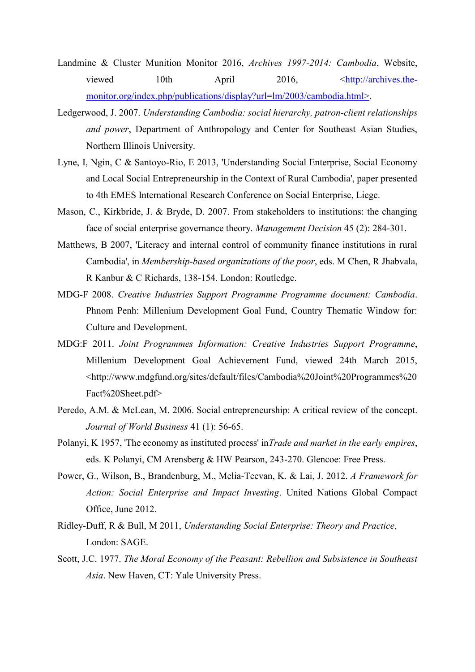- Landmine & Cluster Munition Monitor 2016, *Archives 1997-2014: Cambodia*, Website, viewed 10th April 2016,  $\langle \frac{http://archives.the-10}{http://archives.the-10} \rangle$ [monitor.org/index.php/publications/display?url=lm/2003/cambodia.html>.](http://archives.the-monitor.org/index.php/publications/display?url=lm/2003/cambodia.html%3e)
- Ledgerwood, J. 2007. *Understanding Cambodia: social hierarchy, patron-client relationships and power*, Department of Anthropology and Center for Southeast Asian Studies, Northern Illinois University.
- Lyne, I, Ngin, C & Santoyo-Rio, E 2013, 'Understanding Social Enterprise, Social Economy and Local Social Entrepreneurship in the Context of Rural Cambodia', paper presented to 4th EMES International Research Conference on Social Enterprise, Liege.
- Mason, C., Kirkbride, J. & Bryde, D. 2007. From stakeholders to institutions: the changing face of social enterprise governance theory. *Management Decision* 45 (2): 284-301.
- Matthews, B 2007, 'Literacy and internal control of community finance institutions in rural Cambodia', in *Membership-based organizations of the poor*, eds. M Chen, R Jhabvala, R Kanbur & C Richards, 138-154. London: Routledge.
- MDG-F 2008. *Creative Industries Support Programme Programme document: Cambodia*. Phnom Penh: Millenium Development Goal Fund, Country Thematic Window for: Culture and Development.
- MDG:F 2011. *Joint Programmes Information: Creative Industries Support Programme*, Millenium Development Goal Achievement Fund, viewed 24th March 2015, <http://www.mdgfund.org/sites/default/files/Cambodia%20Joint%20Programmes%20 Fact%20Sheet.pdf>
- Peredo, A.M. & McLean, M. 2006. Social entrepreneurship: A critical review of the concept. *Journal of World Business* 41 (1): 56-65.
- Polanyi, K 1957, 'The economy as instituted process' in*Trade and market in the early empires*, eds. K Polanyi, CM Arensberg & HW Pearson, 243-270. Glencoe: Free Press.
- Power, G., Wilson, B., Brandenburg, M., Melia-Teevan, K. & Lai, J. 2012. *A Framework for Action: Social Enterprise and Impact Investing*. United Nations Global Compact Office, June 2012.
- Ridley-Duff, R & Bull, M 2011, *Understanding Social Enterprise: Theory and Practice*, London: SAGE.
- Scott, J.C. 1977. *The Moral Economy of the Peasant: Rebellion and Subsistence in Southeast Asia*. New Haven, CT: Yale University Press.